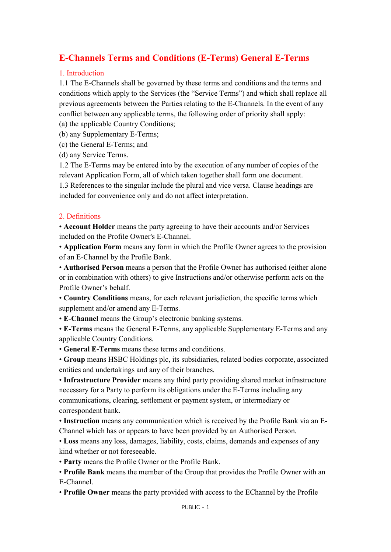# E-Channels Terms and Conditions (E-Terms) General E-Terms

#### 1. Introduction

1.1 The E-Channels shall be governed by these terms and conditions and the terms and conditions which apply to the Services (the "Service Terms") and which shall replace all previous agreements between the Parties relating to the E-Channels. In the event of any conflict between any applicable terms, the following order of priority shall apply:

- (a) the applicable Country Conditions;
- (b) any Supplementary E-Terms;
- (c) the General E-Terms; and
- (d) any Service Terms.

1.2 The E-Terms may be entered into by the execution of any number of copies of the relevant Application Form, all of which taken together shall form one document. 1.3 References to the singular include the plural and vice versa. Clause headings are included for convenience only and do not affect interpretation.

## 2. Definitions

• Account Holder means the party agreeing to have their accounts and/or Services included on the Profile Owner's E-Channel.

• Application Form means any form in which the Profile Owner agrees to the provision of an E-Channel by the Profile Bank.

• Authorised Person means a person that the Profile Owner has authorised (either alone or in combination with others) to give Instructions and/or otherwise perform acts on the Profile Owner's behalf.

• Country Conditions means, for each relevant jurisdiction, the specific terms which supplement and/or amend any E-Terms.

- E-Channel means the Group's electronic banking systems.
- E-Terms means the General E-Terms, any applicable Supplementary E-Terms and any applicable Country Conditions.
- General E-Terms means these terms and conditions.

• Group means HSBC Holdings plc, its subsidiaries, related bodies corporate, associated entities and undertakings and any of their branches.

• Infrastructure Provider means any third party providing shared market infrastructure necessary for a Party to perform its obligations under the E-Terms including any communications, clearing, settlement or payment system, or intermediary or correspondent bank.

• Instruction means any communication which is received by the Profile Bank via an E-Channel which has or appears to have been provided by an Authorised Person.

• Loss means any loss, damages, liability, costs, claims, demands and expenses of any kind whether or not foreseeable.

• Party means the Profile Owner or the Profile Bank.

• Profile Bank means the member of the Group that provides the Profile Owner with an E-Channel.

• Profile Owner means the party provided with access to the EChannel by the Profile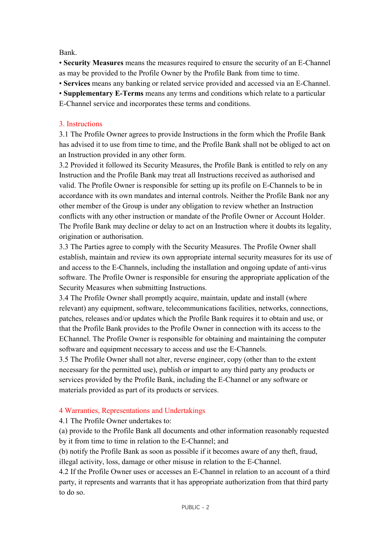Bank.

• Security Measures means the measures required to ensure the security of an E-Channel as may be provided to the Profile Owner by the Profile Bank from time to time.

• Services means any banking or related service provided and accessed via an E-Channel.

• Supplementary E-Terms means any terms and conditions which relate to a particular E-Channel service and incorporates these terms and conditions.

## 3. Instructions

3.1 The Profile Owner agrees to provide Instructions in the form which the Profile Bank has advised it to use from time to time, and the Profile Bank shall not be obliged to act on an Instruction provided in any other form.

3.2 Provided it followed its Security Measures, the Profile Bank is entitled to rely on any Instruction and the Profile Bank may treat all Instructions received as authorised and valid. The Profile Owner is responsible for setting up its profile on E-Channels to be in accordance with its own mandates and internal controls. Neither the Profile Bank nor any other member of the Group is under any obligation to review whether an Instruction conflicts with any other instruction or mandate of the Profile Owner or Account Holder. The Profile Bank may decline or delay to act on an Instruction where it doubts its legality, origination or authorisation.

3.3 The Parties agree to comply with the Security Measures. The Profile Owner shall establish, maintain and review its own appropriate internal security measures for its use of and access to the E-Channels, including the installation and ongoing update of anti-virus software. The Profile Owner is responsible for ensuring the appropriate application of the Security Measures when submitting Instructions.

3.4 The Profile Owner shall promptly acquire, maintain, update and install (where relevant) any equipment, software, telecommunications facilities, networks, connections, patches, releases and/or updates which the Profile Bank requires it to obtain and use, or that the Profile Bank provides to the Profile Owner in connection with its access to the EChannel. The Profile Owner is responsible for obtaining and maintaining the computer software and equipment necessary to access and use the E-Channels.

3.5 The Profile Owner shall not alter, reverse engineer, copy (other than to the extent necessary for the permitted use), publish or impart to any third party any products or services provided by the Profile Bank, including the E-Channel or any software or materials provided as part of its products or services.

## 4 Warranties, Representations and Undertakings

4.1 The Profile Owner undertakes to:

(a) provide to the Profile Bank all documents and other information reasonably requested by it from time to time in relation to the E-Channel; and

(b) notify the Profile Bank as soon as possible if it becomes aware of any theft, fraud, illegal activity, loss, damage or other misuse in relation to the E-Channel.

4.2 If the Profile Owner uses or accesses an E-Channel in relation to an account of a third party, it represents and warrants that it has appropriate authorization from that third party to do so.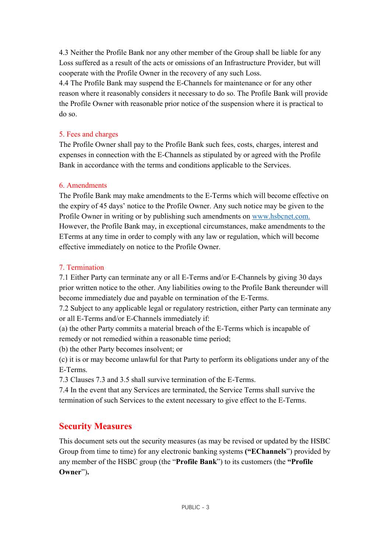4.3 Neither the Profile Bank nor any other member of the Group shall be liable for any Loss suffered as a result of the acts or omissions of an Infrastructure Provider, but will cooperate with the Profile Owner in the recovery of any such Loss.

4.4 The Profile Bank may suspend the E-Channels for maintenance or for any other reason where it reasonably considers it necessary to do so. The Profile Bank will provide the Profile Owner with reasonable prior notice of the suspension where it is practical to do so.

#### 5. Fees and charges

The Profile Owner shall pay to the Profile Bank such fees, costs, charges, interest and expenses in connection with the E-Channels as stipulated by or agreed with the Profile Bank in accordance with the terms and conditions applicable to the Services.

#### 6. Amendments

The Profile Bank may make amendments to the E-Terms which will become effective on the expiry of 45 days' notice to the Profile Owner. Any such notice may be given to the Profile Owner in writing or by publishing such amendments on www.hsbcnet.com. However, the Profile Bank may, in exceptional circumstances, make amendments to the ETerms at any time in order to comply with any law or regulation, which will become effective immediately on notice to the Profile Owner.

#### 7. Termination

7.1 Either Party can terminate any or all E-Terms and/or E-Channels by giving 30 days prior written notice to the other. Any liabilities owing to the Profile Bank thereunder will become immediately due and payable on termination of the E-Terms.

7.2 Subject to any applicable legal or regulatory restriction, either Party can terminate any or all E-Terms and/or E-Channels immediately if:

(a) the other Party commits a material breach of the E-Terms which is incapable of remedy or not remedied within a reasonable time period;

(b) the other Party becomes insolvent; or

(c) it is or may become unlawful for that Party to perform its obligations under any of the E-Terms.

7.3 Clauses 7.3 and 3.5 shall survive termination of the E-Terms.

7.4 In the event that any Services are terminated, the Service Terms shall survive the termination of such Services to the extent necessary to give effect to the E-Terms.

## Security Measures

This document sets out the security measures (as may be revised or updated by the HSBC Group from time to time) for any electronic banking systems ("EChannels") provided by any member of the HSBC group (the "Profile Bank") to its customers (the "Profile Owner").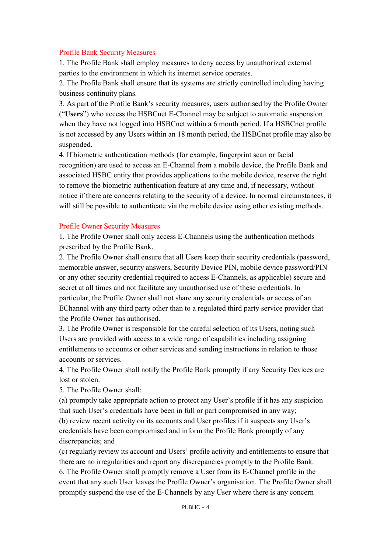#### Profile Bank Security Measures

1. The Profile Bank shall employ measures to deny access by unauthorized external parties to the environment in which its internet service operates.

2. The Profile Bank shall ensure that its systems are strictly controlled including having business continuity plans.

3. As part of the Profile Bank's security measures, users authorised by the Profile Owner ("Users") who access the HSBCnet E-Channel may be subject to automatic suspension when they have not logged into HSBCnet within a 6 month period. If a HSBCnet profile is not accessed by any Users within an 18 month period, the HSBCnet profile may also be suspended.

4. If biometric authentication methods (for example, fingerprint scan or facial recognition) are used to access an E-Channel from a mobile device, the Profile Bank and associated HSBC entity that provides applications to the mobile device, reserve the right to remove the biometric authentication feature at any time and, if necessary, without notice if there are concerns relating to the security of a device. In normal circumstances, it will still be possible to authenticate via the mobile device using other existing methods.

#### Profile Owner Security Measures

1. The Profile Owner shall only access E-Channels using the authentication methods prescribed by the Profile Bank.

2. The Profile Owner shall ensure that all Users keep their security credentials (password, memorable answer, security answers, Security Device PIN, mobile device password/PIN or any other security credential required to access E-Channels, as applicable) secure and secret at all times and not facilitate any unauthorised use of these credentials. In particular, the Profile Owner shall not share any security credentials or access of an EChannel with any third party other than to a regulated third party service provider that the Profile Owner has authorised.

3. The Profile Owner is responsible for the careful selection of its Users, noting such Users are provided with access to a wide range of capabilities including assigning entitlements to accounts or other services and sending instructions in relation to those accounts or services.

4. The Profile Owner shall notify the Profile Bank promptly if any Security Devices are lost or stolen.

5. The Profile Owner shall:

(a) promptly take appropriate action to protect any User's profile if it has any suspicion that such User's credentials have been in full or part compromised in any way;

(b) review recent activity on its accounts and User profiles if it suspects any User's credentials have been compromised and inform the Profile Bank promptly of any discrepancies; and

(c) regularly review its account and Users' profile activity and entitlements to ensure that there are no irregularities and report any discrepancies promptly to the Profile Bank. 6. The Profile Owner shall promptly remove a User from its E-Channel profile in the event that any such User leaves the Profile Owner's organisation. The Profile Owner shall promptly suspend the use of the E-Channels by any User where there is any concern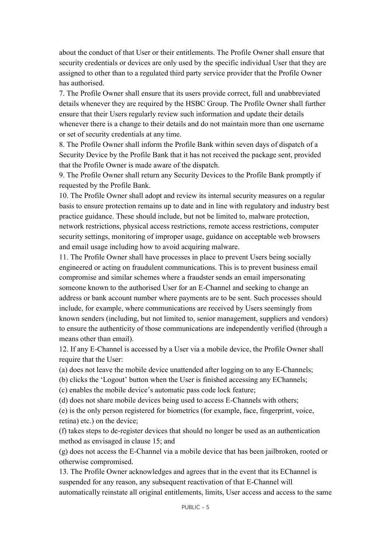about the conduct of that User or their entitlements. The Profile Owner shall ensure that security credentials or devices are only used by the specific individual User that they are assigned to other than to a regulated third party service provider that the Profile Owner has authorised.

7. The Profile Owner shall ensure that its users provide correct, full and unabbreviated details whenever they are required by the HSBC Group. The Profile Owner shall further ensure that their Users regularly review such information and update their details whenever there is a change to their details and do not maintain more than one username or set of security credentials at any time.

8. The Profile Owner shall inform the Profile Bank within seven days of dispatch of a Security Device by the Profile Bank that it has not received the package sent, provided that the Profile Owner is made aware of the dispatch.

9. The Profile Owner shall return any Security Devices to the Profile Bank promptly if requested by the Profile Bank.

10. The Profile Owner shall adopt and review its internal security measures on a regular basis to ensure protection remains up to date and in line with regulatory and industry best practice guidance. These should include, but not be limited to, malware protection, network restrictions, physical access restrictions, remote access restrictions, computer security settings, monitoring of improper usage, guidance on acceptable web browsers and email usage including how to avoid acquiring malware.

11. The Profile Owner shall have processes in place to prevent Users being socially engineered or acting on fraudulent communications. This is to prevent business email compromise and similar schemes where a fraudster sends an email impersonating someone known to the authorised User for an E-Channel and seeking to change an address or bank account number where payments are to be sent. Such processes should include, for example, where communications are received by Users seemingly from known senders (including, but not limited to, senior management, suppliers and vendors) to ensure the authenticity of those communications are independently verified (through a means other than email).

12. If any E-Channel is accessed by a User via a mobile device, the Profile Owner shall require that the User:

(a) does not leave the mobile device unattended after logging on to any E-Channels;

(b) clicks the 'Logout' button when the User is finished accessing any EChannels;

(c) enables the mobile device's automatic pass code lock feature;

(d) does not share mobile devices being used to access E-Channels with others;

(e) is the only person registered for biometrics (for example, face, fingerprint, voice, retina) etc.) on the device;

(f) takes steps to de-register devices that should no longer be used as an authentication method as envisaged in clause 15; and

(g) does not access the E-Channel via a mobile device that has been jailbroken, rooted or otherwise compromised.

13. The Profile Owner acknowledges and agrees that in the event that its EChannel is suspended for any reason, any subsequent reactivation of that E-Channel will automatically reinstate all original entitlements, limits, User access and access to the same